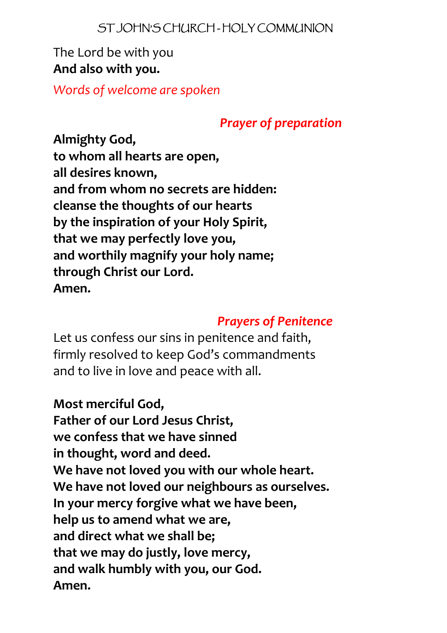#### ST JOHN'S CHURCH - HOLY COMMUNION

## The Lord be with you **And also with you.**

*Words of welcome are spoken*

## *Prayer of preparation*

**Almighty God, to whom all hearts are open, all desires known, and from whom no secrets are hidden: cleanse the thoughts of our hearts by the inspiration of your Holy Spirit, that we may perfectly love you, and worthily magnify your holy name; through Christ our Lord. Amen.**

## *Prayers of Penitence*

Let us confess our sins in penitence and faith, firmly resolved to keep God's commandments and to live in love and peace with all.

## **Most merciful God,**

**Father of our Lord Jesus Christ, we confess that we have sinned in thought, word and deed. We have not loved you with our whole heart. We have not loved our neighbours as ourselves. In your mercy forgive what we have been, help us to amend what we are, and direct what we shall be; that we may do justly, love mercy, and walk humbly with you, our God. Amen.**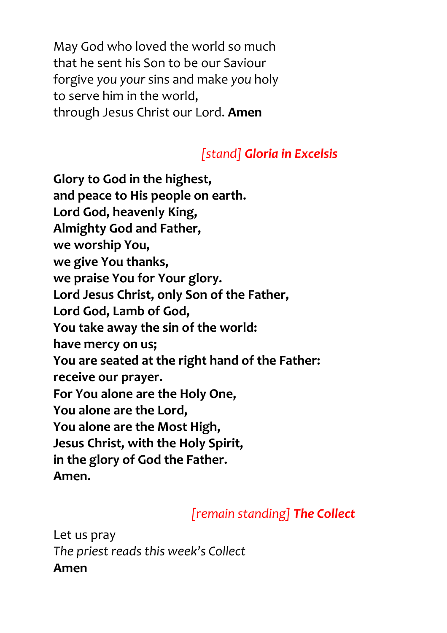May God who loved the world so much that he sent his Son to be our Saviour forgive *you your* sins and make *you* holy to serve him in the world, through Jesus Christ our Lord. **Amen**

# *[stand] Gloria in Excelsis*

**Glory to God in the highest, and peace to His people on earth. Lord God, heavenly King, Almighty God and Father, we worship You, we give You thanks, we praise You for Your glory. Lord Jesus Christ, only Son of the Father, Lord God, Lamb of God, You take away the sin of the world: have mercy on us; You are seated at the right hand of the Father: receive our prayer. For You alone are the Holy One, You alone are the Lord, You alone are the Most High, Jesus Christ, with the Holy Spirit, in the glory of God the Father. Amen.**

# *[remain standing] The Collect*

Let us pray *The priest reads this week's Collect* **Amen**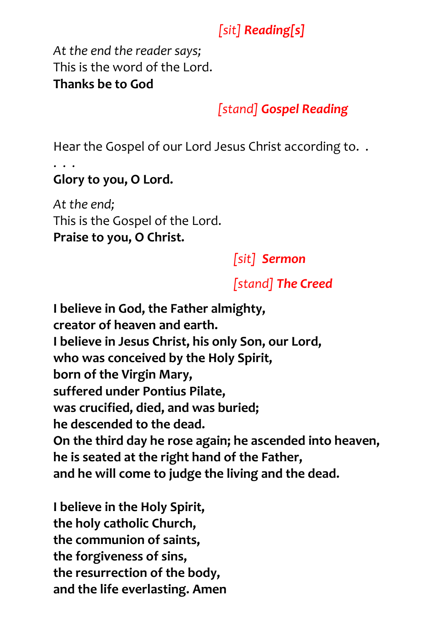# *[sit] Reading[s]*

*At the end the reader says;* This is the word of the Lord. **Thanks be to God**

# *[stand] Gospel Reading*

Hear the Gospel of our Lord Jesus Christ according to. .

#### . . . **Glory to you, O Lord.**

*At the end;* This is the Gospel of the Lord. **Praise to you, O Christ.**

*[sit] Sermon*

# *[stand] The Creed*

**I believe in God, the Father almighty, creator of heaven and earth. I believe in Jesus Christ, his only Son, our Lord, who was conceived by the Holy Spirit, born of the Virgin Mary, suffered under Pontius Pilate, was crucified, died, and was buried; he descended to the dead. On the third day he rose again; he ascended into heaven, he is seated at the right hand of the Father, and he will come to judge the living and the dead.**

**I believe in the Holy Spirit, the holy catholic Church, the communion of saints, the forgiveness of sins, the resurrection of the body, and the life everlasting. Amen**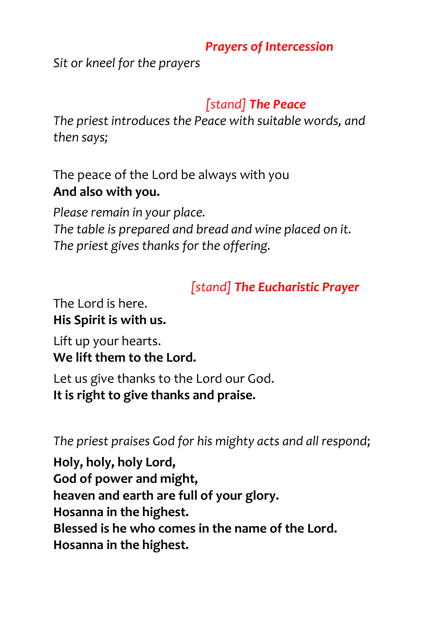## *Prayers of Intercession*

*Sit or kneel for the prayers*

# *[stand] The Peace*

*The priest introduces the Peace with suitable words, and then says;*

The peace of the Lord be always with you **And also with you.**

*Please remain in your place. The table is prepared and bread and wine placed on it. The priest gives thanks for the offering.*

*[stand] The Eucharistic Prayer*

The Lord is here. **His Spirit is with us.**

Lift up your hearts. **We lift them to the Lord.**

Let us give thanks to the Lord our God. **It is right to give thanks and praise.**

*The priest praises God for his mighty acts and all respond*;

**Holy, holy, holy Lord, God of power and might, heaven and earth are full of your glory. Hosanna in the highest. Blessed is he who comes in the name of the Lord. Hosanna in the highest.**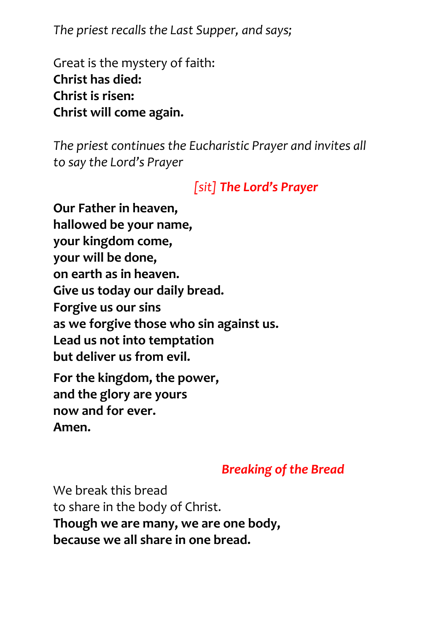*The priest recalls the Last Supper, and says;*

Great is the mystery of faith: **Christ has died: Christ is risen: Christ will come again.**

*The priest continues the Eucharistic Prayer and invites all to say the Lord's Prayer*

# *[sit] The Lord's Prayer*

**Our Father in heaven, hallowed be your name, your kingdom come, your will be done, on earth as in heaven. Give us today our daily bread. Forgive us our sins as we forgive those who sin against us. Lead us not into temptation but deliver us from evil. For the kingdom, the power, and the glory are yours now and for ever.**

**Amen.**

# *Breaking of the Bread*

We break this bread to share in the body of Christ. **Though we are many, we are one body, because we all share in one bread.**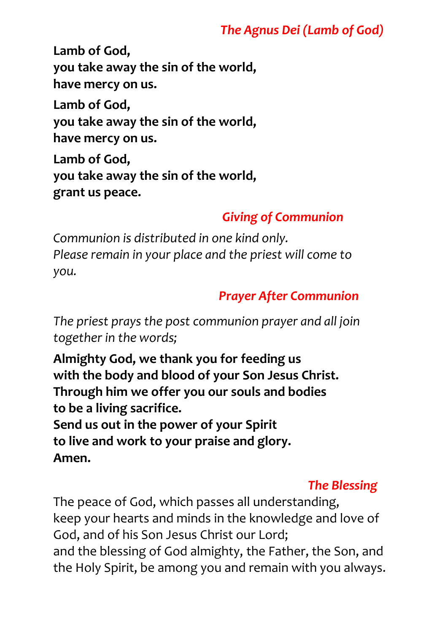## *The Agnus Dei (Lamb of God)*

**Lamb of God, you take away the sin of the world, have mercy on us.**

**Lamb of God, you take away the sin of the world, have mercy on us.**

**Lamb of God, you take away the sin of the world, grant us peace.**

## *Giving of Communion*

*Communion is distributed in one kind only. Please remain in your place and the priest will come to you.*

## *Prayer After Communion*

*The priest prays the post communion prayer and all join together in the words;*

**Almighty God, we thank you for feeding us with the body and blood of your Son Jesus Christ. Through him we offer you our souls and bodies to be a living sacrifice. Send us out in the power of your Spirit to live and work to your praise and glory. Amen.**

# *The Blessing*

The peace of God, which passes all understanding, keep your hearts and minds in the knowledge and love of God, and of his Son Jesus Christ our Lord; and the blessing of God almighty, the Father, the Son, and the Holy Spirit, be among you and remain with you always.